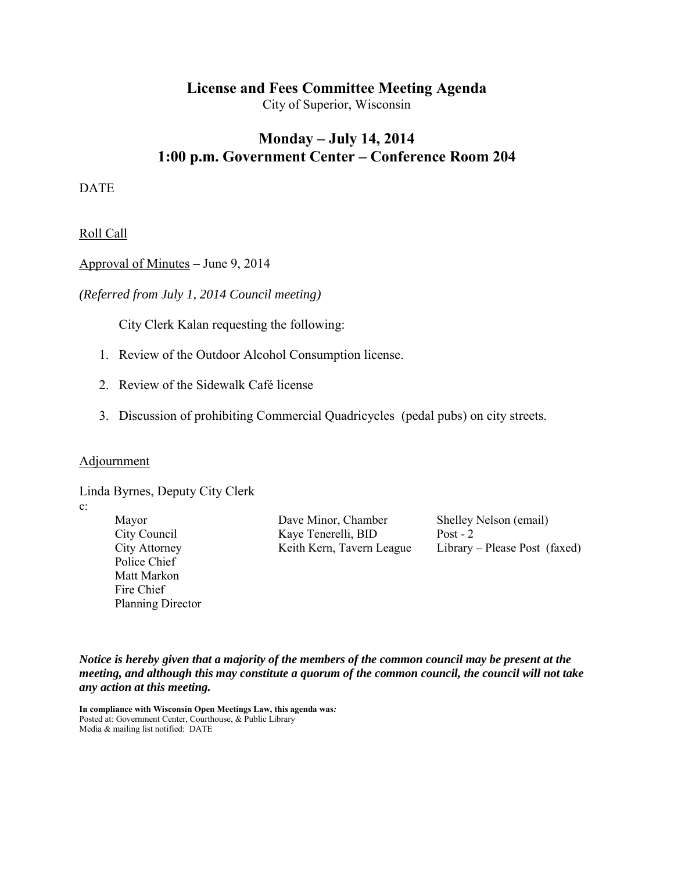# **License and Fees Committee Meeting Agenda**

City of Superior, Wisconsin

# **Monday – July 14, 2014 1:00 p.m. Government Center – Conference Room 204**

DATE

Roll Call

Approval of Minutes – June 9, 2014

*(Referred from July 1, 2014 Council meeting)* 

City Clerk Kalan requesting the following:

- 1. Review of the Outdoor Alcohol Consumption license.
- 2. Review of the Sidewalk Café license
- 3. Discussion of prohibiting Commercial Quadricycles (pedal pubs) on city streets.

#### Adjournment

Linda Byrnes, Deputy City Clerk

c:

Police Chief Matt Markon Fire Chief Planning Director

Mayor Dave Minor, Chamber Shelley Nelson (email) City Council Kaye Tenerelli, BID Post - 2

City Attorney Keith Kern, Tavern League Library – Please Post (faxed)

*Notice is hereby given that a majority of the members of the common council may be present at the meeting, and although this may constitute a quorum of the common council, the council will not take any action at this meeting.* 

**In compliance with Wisconsin Open Meetings Law, this agenda was***:* Posted at: Government Center, Courthouse, & Public Library Media & mailing list notified: DATE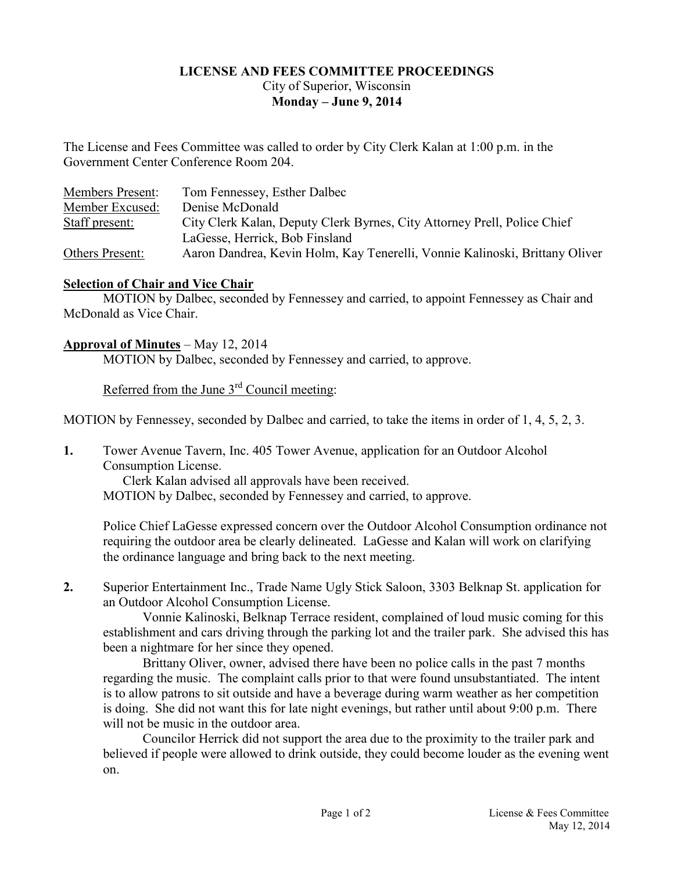### **LICENSE AND FEES COMMITTEE PROCEEDINGS**  City of Superior, Wisconsin **Monday – June 9, 2014**

The License and Fees Committee was called to order by City Clerk Kalan at 1:00 p.m. in the Government Center Conference Room 204.

| <b>Members Present:</b> | Tom Fennessey, Esther Dalbec                                                |
|-------------------------|-----------------------------------------------------------------------------|
| Member Excused:         | Denise McDonald                                                             |
| Staff present:          | City Clerk Kalan, Deputy Clerk Byrnes, City Attorney Prell, Police Chief    |
|                         | LaGesse, Herrick, Bob Finsland                                              |
| Others Present:         | Aaron Dandrea, Kevin Holm, Kay Tenerelli, Vonnie Kalinoski, Brittany Oliver |

### **Selection of Chair and Vice Chair**

 MOTION by Dalbec, seconded by Fennessey and carried, to appoint Fennessey as Chair and McDonald as Vice Chair.

## **Approval of Minutes** – May 12, 2014

MOTION by Dalbec, seconded by Fennessey and carried, to approve.

Referred from the June 3rd Council meeting:

MOTION by Fennessey, seconded by Dalbec and carried, to take the items in order of 1, 4, 5, 2, 3.

**1.** Tower Avenue Tavern, Inc. 405 Tower Avenue, application for an Outdoor Alcohol Consumption License.

 Clerk Kalan advised all approvals have been received. MOTION by Dalbec, seconded by Fennessey and carried, to approve.

Police Chief LaGesse expressed concern over the Outdoor Alcohol Consumption ordinance not requiring the outdoor area be clearly delineated. LaGesse and Kalan will work on clarifying the ordinance language and bring back to the next meeting.

**2.** Superior Entertainment Inc., Trade Name Ugly Stick Saloon, 3303 Belknap St. application for an Outdoor Alcohol Consumption License.

 Vonnie Kalinoski, Belknap Terrace resident, complained of loud music coming for this establishment and cars driving through the parking lot and the trailer park. She advised this has been a nightmare for her since they opened.

 Brittany Oliver, owner, advised there have been no police calls in the past 7 months regarding the music. The complaint calls prior to that were found unsubstantiated. The intent is to allow patrons to sit outside and have a beverage during warm weather as her competition is doing. She did not want this for late night evenings, but rather until about 9:00 p.m. There will not be music in the outdoor area.

 Councilor Herrick did not support the area due to the proximity to the trailer park and believed if people were allowed to drink outside, they could become louder as the evening went on.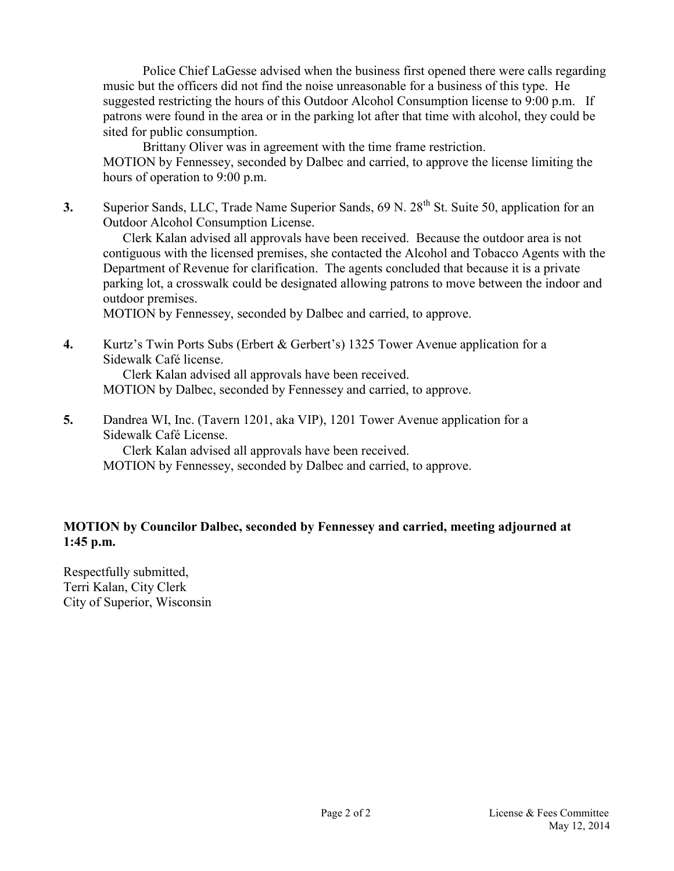Police Chief LaGesse advised when the business first opened there were calls regarding music but the officers did not find the noise unreasonable for a business of this type. He suggested restricting the hours of this Outdoor Alcohol Consumption license to 9:00 p.m. If patrons were found in the area or in the parking lot after that time with alcohol, they could be sited for public consumption.

 Brittany Oliver was in agreement with the time frame restriction. MOTION by Fennessey, seconded by Dalbec and carried, to approve the license limiting the hours of operation to 9:00 p.m.

**3.** Superior Sands, LLC, Trade Name Superior Sands, 69 N. 28<sup>th</sup> St. Suite 50, application for an Outdoor Alcohol Consumption License.

 Clerk Kalan advised all approvals have been received. Because the outdoor area is not contiguous with the licensed premises, she contacted the Alcohol and Tobacco Agents with the Department of Revenue for clarification. The agents concluded that because it is a private parking lot, a crosswalk could be designated allowing patrons to move between the indoor and outdoor premises.

MOTION by Fennessey, seconded by Dalbec and carried, to approve.

**4.** Kurtz's Twin Ports Subs (Erbert & Gerbert's) 1325 Tower Avenue application for a Sidewalk Café license.

Clerk Kalan advised all approvals have been received.

MOTION by Dalbec, seconded by Fennessey and carried, to approve.

**5.** Dandrea WI, Inc. (Tavern 1201, aka VIP), 1201 Tower Avenue application for a Sidewalk Café License.

Clerk Kalan advised all approvals have been received.

MOTION by Fennessey, seconded by Dalbec and carried, to approve.

# **MOTION by Councilor Dalbec, seconded by Fennessey and carried, meeting adjourned at 1:45 p.m.**

Respectfully submitted, Terri Kalan, City Clerk City of Superior, Wisconsin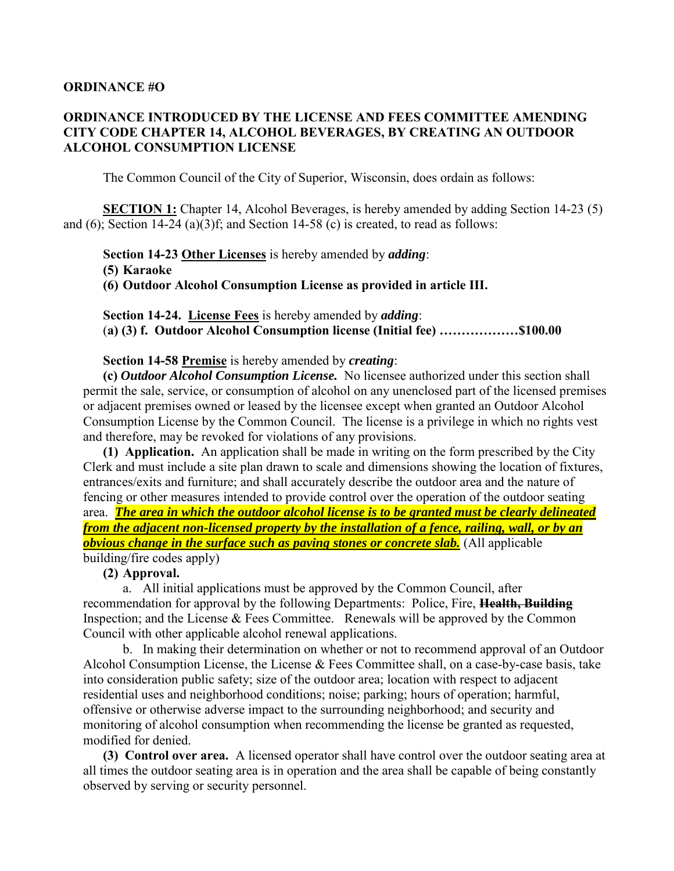#### **ORDINANCE #O**

### **ORDINANCE INTRODUCED BY THE LICENSE AND FEES COMMITTEE AMENDING CITY CODE CHAPTER 14, ALCOHOL BEVERAGES, BY CREATING AN OUTDOOR ALCOHOL CONSUMPTION LICENSE**

The Common Council of the City of Superior, Wisconsin, does ordain as follows:

**SECTION 1:** Chapter 14, Alcohol Beverages, is hereby amended by adding Section 14-23 (5) and (6); Section 14-24 (a)(3)f; and Section 14-58 (c) is created, to read as follows:

**Section 14-23 Other Licenses** is hereby amended by *adding*:

**(5) Karaoke** 

**(6) Outdoor Alcohol Consumption License as provided in article III.** 

 **Section 14-24. License Fees** is hereby amended by *adding*: (**a) (3) f. Outdoor Alcohol Consumption license (Initial fee) ………………\$100.00** 

 **Section 14-58 Premise** is hereby amended by *creating*:

 **(c)** *Outdoor Alcohol Consumption License.* No licensee authorized under this section shall permit the sale, service, or consumption of alcohol on any unenclosed part of the licensed premises or adjacent premises owned or leased by the licensee except when granted an Outdoor Alcohol Consumption License by the Common Council. The license is a privilege in which no rights vest and therefore, may be revoked for violations of any provisions.

**(1) Application.** An application shall be made in writing on the form prescribed by the City Clerk and must include a site plan drawn to scale and dimensions showing the location of fixtures, entrances/exits and furniture; and shall accurately describe the outdoor area and the nature of fencing or other measures intended to provide control over the operation of the outdoor seating area. *The area in which the outdoor alcohol license is to be granted must be clearly delineated from the adjacent non-licensed property by the installation of a fence, railing, wall, or by an obvious change in the surface such as paving stones or concrete slab.* **(All applicable** building/fire codes apply)

**(2) Approval.**

 a. All initial applications must be approved by the Common Council, after recommendation for approval by the following Departments: Police, Fire, **Health, Building** Inspection; and the License & Fees Committee. Renewals will be approved by the Common Council with other applicable alcohol renewal applications.

 b. In making their determination on whether or not to recommend approval of an Outdoor Alcohol Consumption License, the License & Fees Committee shall, on a case-by-case basis, take into consideration public safety; size of the outdoor area; location with respect to adjacent residential uses and neighborhood conditions; noise; parking; hours of operation; harmful, offensive or otherwise adverse impact to the surrounding neighborhood; and security and monitoring of alcohol consumption when recommending the license be granted as requested, modified for denied.

 **(3) Control over area.** A licensed operator shall have control over the outdoor seating area at all times the outdoor seating area is in operation and the area shall be capable of being constantly observed by serving or security personnel.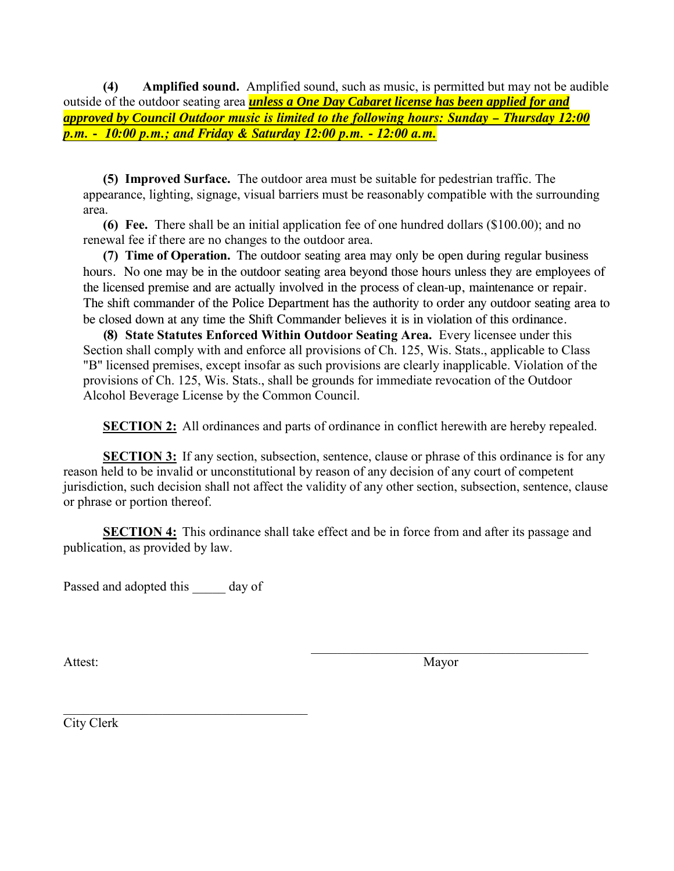**(4) Amplified sound.** Amplified sound, such as music, is permitted but may not be audible outside of the outdoor seating area *unless a One Day Cabaret license has been applied for and approved by Council Outdoor music is limited to the following hours: Sunday – Thursday 12:00 p.m. - 10:00 p.m.; and Friday & Saturday 12:00 p.m. - 12:00 a.m.* 

 **(5) Improved Surface.** The outdoor area must be suitable for pedestrian traffic. The appearance, lighting, signage, visual barriers must be reasonably compatible with the surrounding area.

 **(6) Fee.** There shall be an initial application fee of one hundred dollars (\$100.00); and no renewal fee if there are no changes to the outdoor area.

**(7) Time of Operation.** The outdoor seating area may only be open during regular business hours. No one may be in the outdoor seating area beyond those hours unless they are employees of the licensed premise and are actually involved in the process of clean-up, maintenance or repair. The shift commander of the Police Department has the authority to order any outdoor seating area to be closed down at any time the Shift Commander believes it is in violation of this ordinance.

**(8) State Statutes Enforced Within Outdoor Seating Area.** Every licensee under this Section shall comply with and enforce all provisions of Ch. 125, Wis. Stats., applicable to Class "B" licensed premises, except insofar as such provisions are clearly inapplicable. Violation of the provisions of Ch. 125, Wis. Stats., shall be grounds for immediate revocation of the Outdoor Alcohol Beverage License by the Common Council.

**SECTION 2:** All ordinances and parts of ordinance in conflict herewith are hereby repealed.

**SECTION 3:** If any section, subsection, sentence, clause or phrase of this ordinance is for any reason held to be invalid or unconstitutional by reason of any decision of any court of competent jurisdiction, such decision shall not affect the validity of any other section, subsection, sentence, clause or phrase or portion thereof.

**SECTION 4:** This ordinance shall take effect and be in force from and after its passage and publication, as provided by law.

Passed and adopted this day of

 $\overline{\phantom{a}}$  ,  $\overline{\phantom{a}}$  ,  $\overline{\phantom{a}}$  ,  $\overline{\phantom{a}}$  ,  $\overline{\phantom{a}}$  ,  $\overline{\phantom{a}}$  ,  $\overline{\phantom{a}}$  ,  $\overline{\phantom{a}}$  ,  $\overline{\phantom{a}}$  ,  $\overline{\phantom{a}}$  ,  $\overline{\phantom{a}}$  ,  $\overline{\phantom{a}}$  ,  $\overline{\phantom{a}}$  ,  $\overline{\phantom{a}}$  ,  $\overline{\phantom{a}}$  ,  $\overline{\phantom{a}}$ Attest: Mayor

\_\_\_\_\_\_\_\_\_\_\_\_\_\_\_\_\_\_\_\_\_\_\_\_\_\_\_\_\_\_\_\_\_\_\_\_\_ City Clerk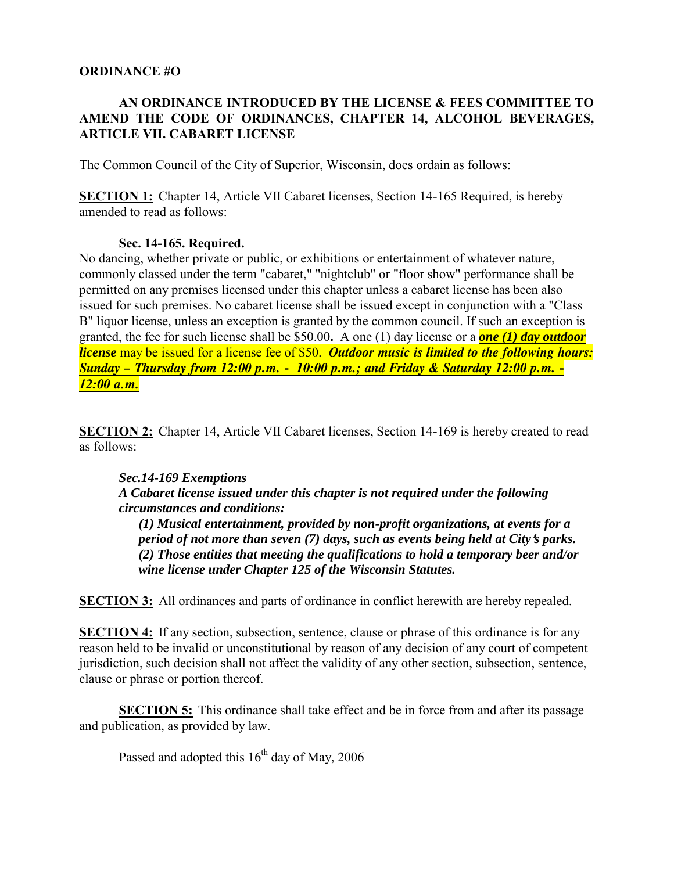#### **ORDINANCE #O**

## **AN ORDINANCE INTRODUCED BY THE LICENSE & FEES COMMITTEE TO AMEND THE CODE OF ORDINANCES, CHAPTER 14, ALCOHOL BEVERAGES, ARTICLE VII. CABARET LICENSE**

The Common Council of the City of Superior, Wisconsin, does ordain as follows:

**SECTION 1:** Chapter 14, Article VII Cabaret licenses, Section 14-165 Required, is hereby amended to read as follows:

#### **Sec. 14-165. Required.**

No dancing, whether private or public, or exhibitions or entertainment of whatever nature, commonly classed under the term "cabaret," "nightclub" or "floor show" performance shall be permitted on any premises licensed under this chapter unless a cabaret license has been also issued for such premises. No cabaret license shall be issued except in conjunction with a "Class B" liquor license, unless an exception is granted by the common council. If such an exception is granted, the fee for such license shall be \$50.00**.** A one (1) day license or a *one (1) day outdoor license* may be issued for a license fee of \$50. *Outdoor music is limited to the following hours: Sunday – Thursday from 12:00 p.m. - 10:00 p.m.; and Friday & Saturday 12:00 p.m. - 12:00 a.m.*

**SECTION 2:** Chapter 14, Article VII Cabaret licenses, Section 14-169 is hereby created to read as follows:

### *Sec.14-169 Exemptions*

#### *A Cabaret license issued under this chapter is not required under the following circumstances and conditions:*

*(1) Musical entertainment, provided by non-profit organizations, at events for a period of not more than seven (7) days, such as events being held at City's parks. (2) Those entities that meeting the qualifications to hold a temporary beer and/or wine license under Chapter 125 of the Wisconsin Statutes.* 

**SECTION 3:** All ordinances and parts of ordinance in conflict herewith are hereby repealed.

**SECTION 4:** If any section, subsection, sentence, clause or phrase of this ordinance is for any reason held to be invalid or unconstitutional by reason of any decision of any court of competent jurisdiction, such decision shall not affect the validity of any other section, subsection, sentence, clause or phrase or portion thereof.

**SECTION 5:** This ordinance shall take effect and be in force from and after its passage and publication, as provided by law.

Passed and adopted this  $16<sup>th</sup>$  day of May, 2006